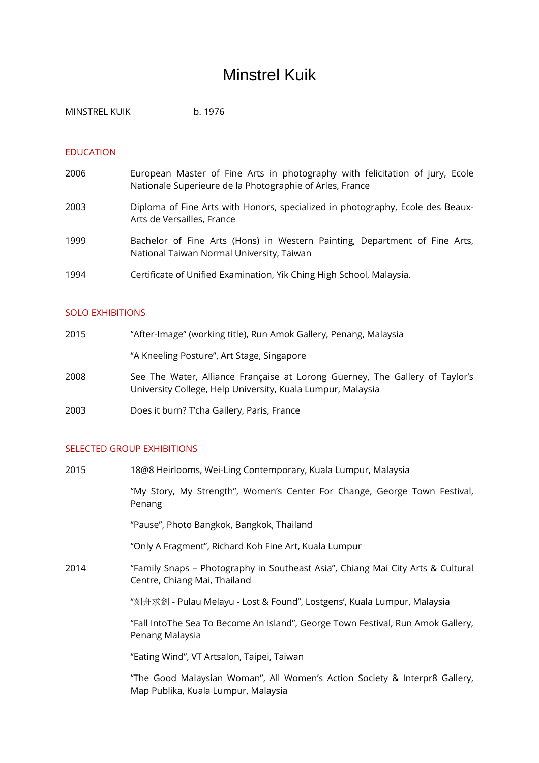# Minstrel Kuik

MINSTREL KUIK b. 1976

## EDUCATION

- 2006 European Master of Fine Arts in photography with felicitation of jury, Ecole Nationale Superieure de la Photographie of Arles, France
- 2003 Diploma of Fine Arts with Honors, specialized in photography, Ecole des Beaux-Arts de Versailles, France
- 1999 Bachelor of Fine Arts (Hons) in Western Painting, Department of Fine Arts, National Taiwan Normal University, Taiwan
- 1994 Certificate of Unified Examination, Yik Ching High School, Malaysia.

#### SOLO EXHIBITIONS

| 2015 | "After-Image" (working title), Run Amok Gallery, Penang, Malaysia                                                                           |
|------|---------------------------------------------------------------------------------------------------------------------------------------------|
|      | "A Kneeling Posture", Art Stage, Singapore                                                                                                  |
| 2008 | See The Water, Alliance Française at Lorong Guerney, The Gallery of Taylor's<br>University College, Help University, Kuala Lumpur, Malaysia |
| っへへっ | De ee 't beste O Thebes Calledon David Francesc                                                                                             |

2003 Does it burn? T'cha Gallery, Paris, France

## SELECTED GROUP EXHIBITIONS

| 2015 | 18@8 Heirlooms, Wei-Ling Contemporary, Kuala Lumpur, Malaysia                                                   |
|------|-----------------------------------------------------------------------------------------------------------------|
|      | "My Story, My Strength", Women's Center For Change, George Town Festival,<br>Penang                             |
|      | "Pause", Photo Bangkok, Bangkok, Thailand                                                                       |
|      | "Only A Fragment", Richard Koh Fine Art, Kuala Lumpur                                                           |
| 2014 | "Family Snaps - Photography in Southeast Asia", Chiang Mai City Arts & Cultural<br>Centre, Chiang Mai, Thailand |
|      | "刻舟求剑 - Pulau Melayu - Lost & Found", Lostgens', Kuala Lumpur, Malaysia                                         |
|      | "Fall IntoThe Sea To Become An Island", George Town Festival, Run Amok Gallery,<br>Penang Malaysia              |
|      | "Eating Wind", VT Artsalon, Taipei, Taiwan                                                                      |
|      | "The Good Malaysian Woman", All Women's Action Society & Interpr8 Gallery,                                      |

Map Publika, Kuala Lumpur, Malaysia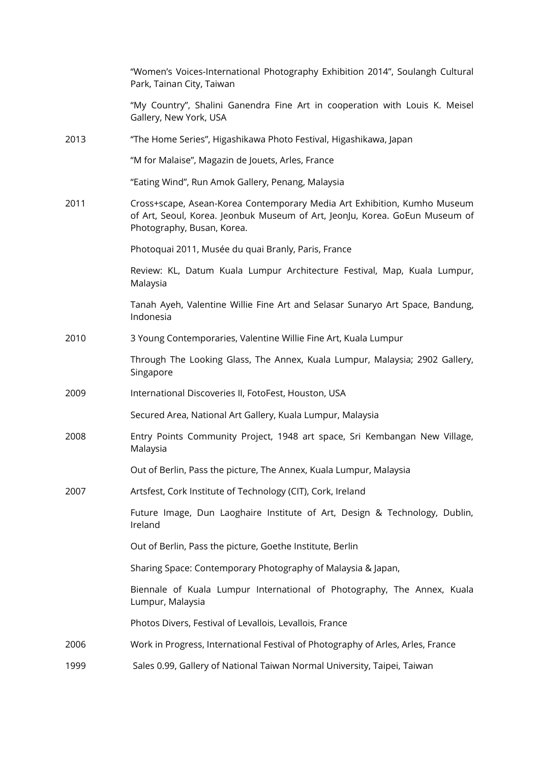|      | "Women's Voices-International Photography Exhibition 2014", Soulangh Cultural<br>Park, Tainan City, Taiwan                                                                            |
|------|---------------------------------------------------------------------------------------------------------------------------------------------------------------------------------------|
|      | "My Country", Shalini Ganendra Fine Art in cooperation with Louis K. Meisel<br>Gallery, New York, USA                                                                                 |
| 2013 | "The Home Series", Higashikawa Photo Festival, Higashikawa, Japan                                                                                                                     |
|      | "M for Malaise", Magazin de Jouets, Arles, France                                                                                                                                     |
|      | "Eating Wind", Run Amok Gallery, Penang, Malaysia                                                                                                                                     |
| 2011 | Cross+scape, Asean-Korea Contemporary Media Art Exhibition, Kumho Museum<br>of Art, Seoul, Korea. Jeonbuk Museum of Art, JeonJu, Korea. GoEun Museum of<br>Photography, Busan, Korea. |
|      | Photoquai 2011, Musée du quai Branly, Paris, France                                                                                                                                   |
|      | Review: KL, Datum Kuala Lumpur Architecture Festival, Map, Kuala Lumpur,<br>Malaysia                                                                                                  |
|      | Tanah Ayeh, Valentine Willie Fine Art and Selasar Sunaryo Art Space, Bandung,<br>Indonesia                                                                                            |
| 2010 | 3 Young Contemporaries, Valentine Willie Fine Art, Kuala Lumpur                                                                                                                       |
|      | Through The Looking Glass, The Annex, Kuala Lumpur, Malaysia; 2902 Gallery,<br>Singapore                                                                                              |
| 2009 | International Discoveries II, FotoFest, Houston, USA                                                                                                                                  |
|      | Secured Area, National Art Gallery, Kuala Lumpur, Malaysia                                                                                                                            |
| 2008 | Entry Points Community Project, 1948 art space, Sri Kembangan New Village,<br>Malaysia                                                                                                |
|      | Out of Berlin, Pass the picture, The Annex, Kuala Lumpur, Malaysia                                                                                                                    |
| 2007 | Artsfest, Cork Institute of Technology (CIT), Cork, Ireland                                                                                                                           |
|      | Future Image, Dun Laoghaire Institute of Art, Design & Technology, Dublin,<br>Ireland                                                                                                 |
|      | Out of Berlin, Pass the picture, Goethe Institute, Berlin                                                                                                                             |
|      | Sharing Space: Contemporary Photography of Malaysia & Japan,                                                                                                                          |
|      | Biennale of Kuala Lumpur International of Photography, The Annex, Kuala<br>Lumpur, Malaysia                                                                                           |
|      | Photos Divers, Festival of Levallois, Levallois, France                                                                                                                               |
| 2006 | Work in Progress, International Festival of Photography of Arles, Arles, France                                                                                                       |
| 1999 | Sales 0.99, Gallery of National Taiwan Normal University, Taipei, Taiwan                                                                                                              |